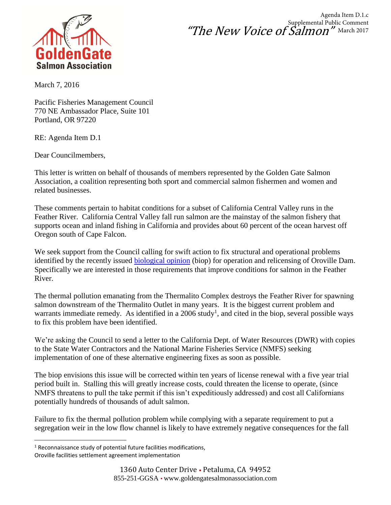

"The New Voice of Salmon" Agenda Item D.1.c Supplemental Public Comment March 2017

March 7, 2016

Pacific Fisheries Management Council 770 NE Ambassador Place, Suite 101 Portland, OR 97220

RE: Agenda Item D.1

Dear Councilmembers,

This letter is written on behalf of thousands of members represented by the Golden Gate Salmon Association, a coalition representing both sport and commercial salmon fishermen and women and related businesses.

These comments pertain to habitat conditions for a subset of California Central Valley runs in the Feather River. California Central Valley fall run salmon are the mainstay of the salmon fishery that supports ocean and inland fishing in California and provides about 60 percent of the ocean harvest off Oregon south of Cape Falcon.

We seek support from the Council calling for swift action to fix structural and operational problems identified by the recently issued [biological opinion](http://www.westcoast.fisheries.noaa.gov/publications/Central_Valley/Sacramento%20River/2016_12_05_oroville_ferc_bo_final_signed.pdf) (biop) for operation and relicensing of Oroville Dam. Specifically we are interested in those requirements that improve conditions for salmon in the Feather River.

The thermal pollution emanating from the Thermalito Complex destroys the Feather River for spawning salmon downstream of the Thermalito Outlet in many years. It is the biggest current problem and warrants immediate remedy. As identified in a  $2006$  study<sup>1</sup>, and cited in the biop, several possible ways to fix this problem have been identified.

We're asking the Council to send a letter to the California Dept. of Water Resources (DWR) with copies to the State Water Contractors and the National Marine Fisheries Service (NMFS) seeking implementation of one of these alternative engineering fixes as soon as possible.

The biop envisions this issue will be corrected within ten years of license renewal with a five year trial period built in. Stalling this will greatly increase costs, could threaten the license to operate, (since NMFS threatens to pull the take permit if this isn't expeditiously addressed) and cost all Californians potentially hundreds of thousands of adult salmon.

Failure to fix the thermal pollution problem while complying with a separate requirement to put a segregation weir in the low flow channel is likely to have extremely negative consequences for the fall

<sup>&</sup>lt;sup>1</sup> Reconnaissance study of potential future facilities modifications,

Oroville facilities settlement agreement implementation